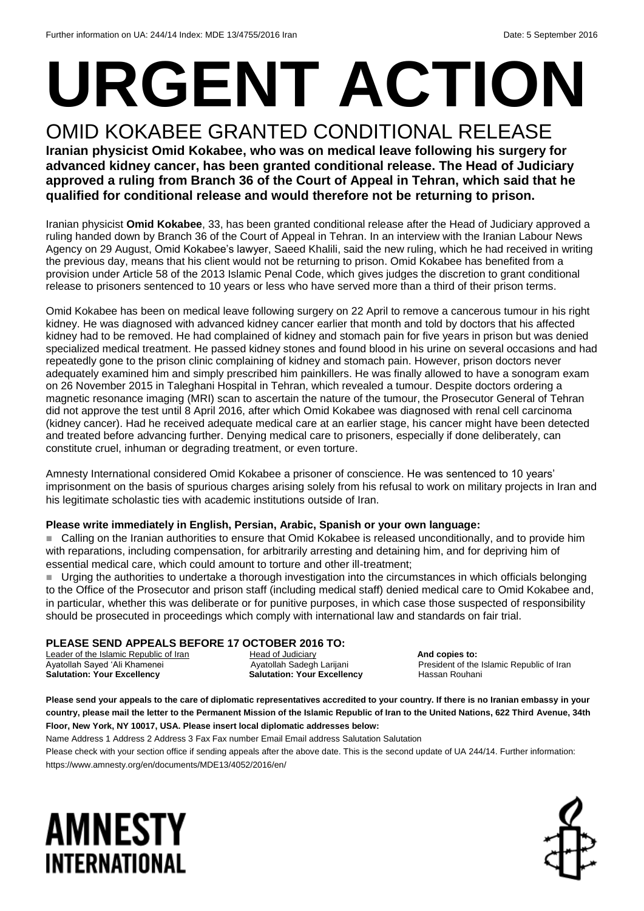# **URGENT ACTION** OMID KOKABEE GRANTED CONDITIONAL RELEASE

#### **Iranian physicist Omid Kokabee, who was on medical leave following his surgery for advanced kidney cancer, has been granted conditional release. The Head of Judiciary approved a ruling from Branch 36 of the Court of Appeal in Tehran, which said that he qualified for conditional release and would therefore not be returning to prison.**

Iranian physicist **Omid Kokabee**, 33, has been granted conditional release after the Head of Judiciary approved a ruling handed down by Branch 36 of the Court of Appeal in Tehran. In an interview with the Iranian Labour News Agency on 29 August, Omid Kokabee's lawyer, Saeed Khalili, said the new ruling, which he had received in writing the previous day, means that his client would not be returning to prison. Omid Kokabee has benefited from a provision under Article 58 of the 2013 Islamic Penal Code, which gives judges the discretion to grant conditional release to prisoners sentenced to 10 years or less who have served more than a third of their prison terms.

Omid Kokabee has been on medical leave following surgery on 22 April to remove a cancerous tumour in his right kidney. He was diagnosed with advanced kidney cancer earlier that month and told by doctors that his affected kidney had to be removed. He had complained of kidney and stomach pain for five years in prison but was denied specialized medical treatment. He passed kidney stones and found blood in his urine on several occasions and had repeatedly gone to the prison clinic complaining of kidney and stomach pain. However, prison doctors never adequately examined him and simply prescribed him painkillers. He was finally allowed to have a sonogram exam on 26 November 2015 in Taleghani Hospital in Tehran, which revealed a tumour. Despite doctors ordering a magnetic resonance imaging (MRI) scan to ascertain the nature of the tumour, the Prosecutor General of Tehran did not approve the test until 8 April 2016, after which Omid Kokabee was diagnosed with renal cell carcinoma (kidney cancer). Had he received adequate medical care at an earlier stage, his cancer might have been detected and treated before advancing further. Denying medical care to prisoners, especially if done deliberately, can constitute cruel, inhuman or degrading treatment, or even torture.

Amnesty International considered Omid Kokabee a prisoner of conscience. He was sentenced to 10 years' imprisonment on the basis of spurious charges arising solely from his refusal to work on military projects in Iran and his legitimate scholastic ties with academic institutions outside of Iran.

#### **Please write immediately in English, Persian, Arabic, Spanish or your own language:**

■ Calling on the Iranian authorities to ensure that Omid Kokabee is released unconditionally, and to provide him with reparations, including compensation, for arbitrarily arresting and detaining him, and for depriving him of essential medical care, which could amount to torture and other ill-treatment;

 Urging the authorities to undertake a thorough investigation into the circumstances in which officials belonging to the Office of the Prosecutor and prison staff (including medical staff) denied medical care to Omid Kokabee and, in particular, whether this was deliberate or for punitive purposes, in which case those suspected of responsibility should be prosecuted in proceedings which comply with international law and standards on fair trial.

#### **PLEASE SEND APPEALS BEFORE 17 OCTOBER 2016 TO:**

Leader of the Islamic Republic of Iran **Head of Judiciary And copies to: And copies to: And copies to: And copies to: And copies to: And copies to: And copies to: And copies to: And copies to: And copie** Ayatollah Sayed 'Ali Khamenei **Ayatollah Sadegh Larijani** President of the Islamic Republic of Iran **Salutation: Your Excellency <b>Salutation: Your Excellency** Hassan Rouhani

**Please send your appeals to the care of diplomatic representatives accredited to your country. If there is no Iranian embassy in your country, please mail the letter to the Permanent Mission of the Islamic Republic of Iran to the United Nations, 622 Third Avenue, 34th Floor, New York, NY 10017, USA. Please insert local diplomatic addresses below:**

Name Address 1 Address 2 Address 3 Fax Fax number Email Email address Salutation Salutation Please check with your section office if sending appeals after the above date. This is the second update of UA 244/14. Further information: https://www.amnesty.org/en/documents/MDE13/4052/2016/en/